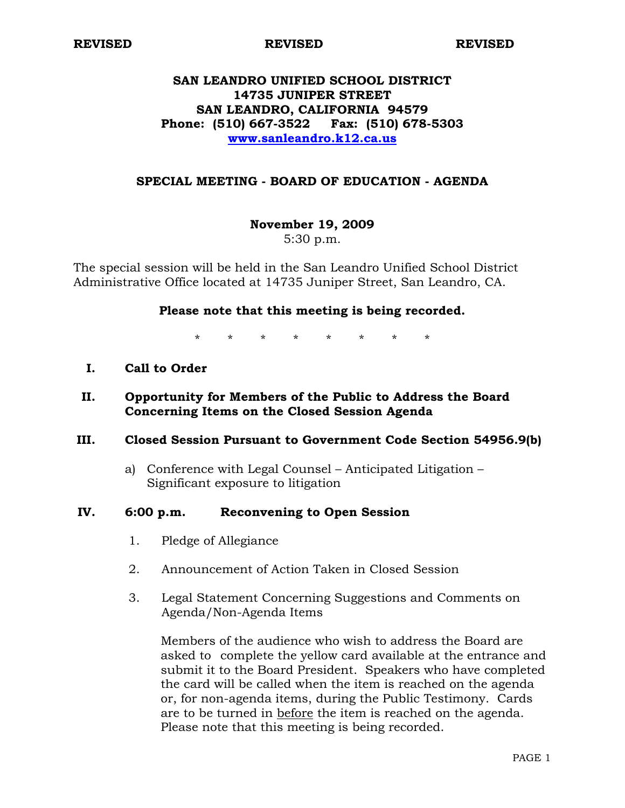**REVISED REVISED REVISED** 

# **SAN LEANDRO UNIFIED SCHOOL DISTRICT 14735 JUNIPER STREET SAN LEANDRO, CALIFORNIA 94579 Phone: (510) 667-3522 Fax: (510) 678-5303 [www.sanleandro.k12.ca.us](http://www.sanleandro.k12.ca.us/)**

### **SPECIAL MEETING - BOARD OF EDUCATION - AGENDA**

# **November 19, 2009**

5:30 p.m.

The special session will be held in the San Leandro Unified School District Administrative Office located at 14735 Juniper Street, San Leandro, CA.

### **Please note that this meeting is being recorded.**

\* \* \* \* \* \* \* \*

**I. Call to Order** 

# **II. Opportunity for Members of the Public to Address the Board Concerning Items on the Closed Session Agenda**

### **III. Closed Session Pursuant to Government Code Section 54956.9(b)**

a) Conference with Legal Counsel – Anticipated Litigation – Significant exposure to litigation

#### **IV. 6:00 p.m. Reconvening to Open Session**

- 1. Pledge of Allegiance
- 2. Announcement of Action Taken in Closed Session
- 3. Legal Statement Concerning Suggestions and Comments on Agenda/Non-Agenda Items

 Members of the audience who wish to address the Board are asked to complete the yellow card available at the entrance and submit it to the Board President. Speakers who have completed the card will be called when the item is reached on the agenda or, for non-agenda items, during the Public Testimony. Cards are to be turned in before the item is reached on the agenda. Please note that this meeting is being recorded.